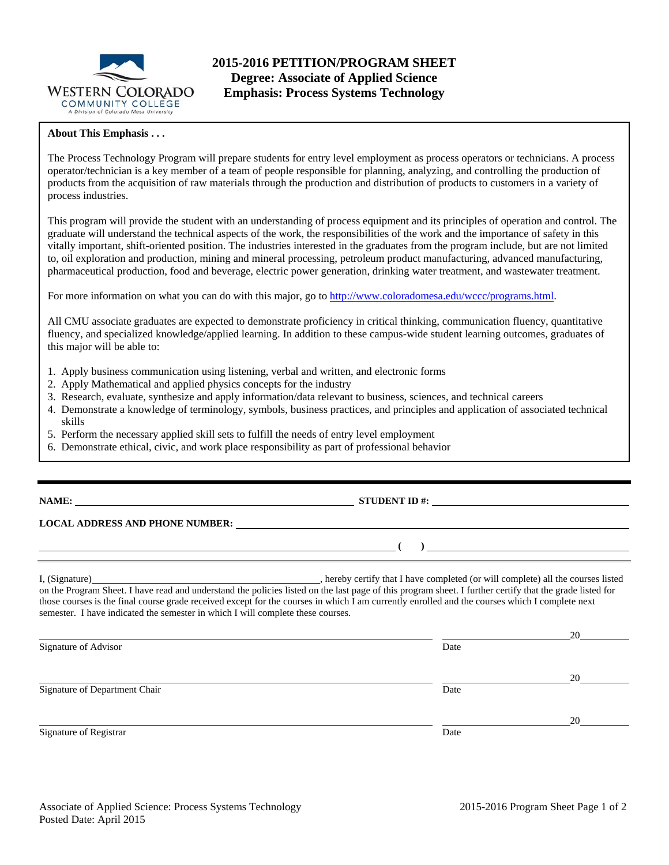

### **About This Emphasis . . .**

The Process Technology Program will prepare students for entry level employment as process operators or technicians. A process operator/technician is a key member of a team of people responsible for planning, analyzing, and controlling the production of products from the acquisition of raw materials through the production and distribution of products to customers in a variety of process industries.

This program will provide the student with an understanding of process equipment and its principles of operation and control. The graduate will understand the technical aspects of the work, the responsibilities of the work and the importance of safety in this vitally important, shift-oriented position. The industries interested in the graduates from the program include, but are not limited to, oil exploration and production, mining and mineral processing, petroleum product manufacturing, advanced manufacturing, pharmaceutical production, food and beverage, electric power generation, drinking water treatment, and wastewater treatment.

For more information on what you can do with this major, go to http://www.coloradomesa.edu/wccc/programs.html.

All CMU associate graduates are expected to demonstrate proficiency in critical thinking, communication fluency, quantitative fluency, and specialized knowledge/applied learning. In addition to these campus-wide student learning outcomes, graduates of this major will be able to:

- 1. Apply business communication using listening, verbal and written, and electronic forms
- 2. Apply Mathematical and applied physics concepts for the industry
- 3. Research, evaluate, synthesize and apply information/data relevant to business, sciences, and technical careers
- 4. Demonstrate a knowledge of terminology, symbols, business practices, and principles and application of associated technical skills
- 5. Perform the necessary applied skill sets to fulfill the needs of entry level employment
- 6. Demonstrate ethical, civic, and work place responsibility as part of professional behavior

# **NAME:** STUDENT ID #:

## **LOCAL ADDRESS AND PHONE NUMBER:**

I, (Signature) , hereby certify that I have completed (or will complete) all the courses listed on the Program Sheet. I have read and understand the policies listed on the last page of this program sheet. I further certify that the grade listed for those courses is the final course grade received except for the courses in which I am currently enrolled and the courses which I complete next semester. I have indicated the semester in which I will complete these courses.

|                               |      | 20 |
|-------------------------------|------|----|
| Signature of Advisor          | Date |    |
|                               |      |    |
|                               |      | 20 |
| Signature of Department Chair | Date |    |
|                               |      |    |
|                               |      | 20 |
| Signature of Registrar        | Date |    |

 **( )**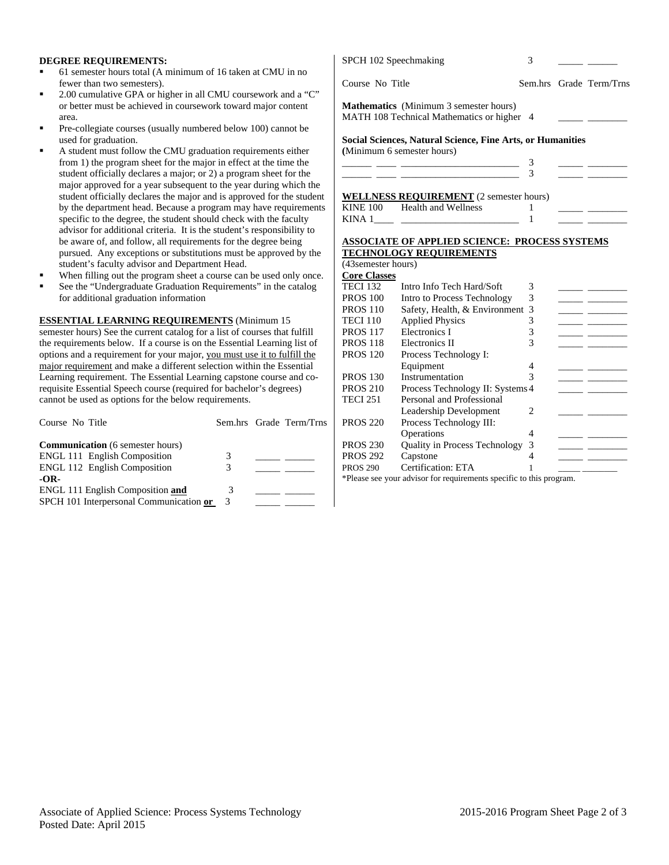#### **DEGREE REQUIREMENTS:**

- 61 semester hours total (A minimum of 16 taken at CMU in no fewer than two semesters).
- 2.00 cumulative GPA or higher in all CMU coursework and a "C" or better must be achieved in coursework toward major content area.
- Pre-collegiate courses (usually numbered below 100) cannot be used for graduation.
- A student must follow the CMU graduation requirements either from 1) the program sheet for the major in effect at the time the student officially declares a major; or 2) a program sheet for the major approved for a year subsequent to the year during which the student officially declares the major and is approved for the student by the department head. Because a program may have requirement specific to the degree, the student should check with the faculty advisor for additional criteria. It is the student's responsibility to be aware of, and follow, all requirements for the degree being pursued. Any exceptions or substitutions must be approved by the student's faculty advisor and Department Head.
- When filling out the program sheet a course can be used only once.
- See the "Undergraduate Graduation Requirements" in the catalog for additional graduation information

#### **ESSENTIAL LEARNING REQUIREMENTS** (Minimum 15

semester hours) See the current catalog for a list of courses that fulfill the requirements below. If a course is on the Essential Learning list of options and a requirement for your major, you must use it to fulfill the major requirement and make a different selection within the Essential Learning requirement. The Essential Learning capstone course and corequisite Essential Speech course (required for bachelor's degrees) cannot be used as options for the below requirements.

| Course No Title                         |   | Sem.hrs Grade Term/Trns |
|-----------------------------------------|---|-------------------------|
| <b>Communication</b> (6 semester hours) |   |                         |
| <b>ENGL 111 English Composition</b>     | 3 |                         |
| <b>ENGL 112 English Composition</b>     | 3 |                         |
| $-OR-$                                  |   |                         |
| <b>ENGL 111 English Composition and</b> |   |                         |
| SPCH 101 Interpersonal Communication or | 3 |                         |

|                     | SPCH 102 Speechmaking                                                                                                  | 3 |                                             |
|---------------------|------------------------------------------------------------------------------------------------------------------------|---|---------------------------------------------|
| Course No Title     |                                                                                                                        |   | Sem.hrs Grade Term/Trns                     |
|                     | <b>Mathematics</b> (Minimum 3 semester hours)<br>MATH 108 Technical Mathematics or higher 4                            |   |                                             |
|                     | <b>Social Sciences, Natural Science, Fine Arts, or Humanities</b>                                                      |   |                                             |
|                     | (Minimum 6 semester hours)                                                                                             |   |                                             |
|                     | <u> Alexandria de la contrada de la contrada de la contrada de la contrada de la contrada de la contrada de la c</u>   | 3 |                                             |
|                     | <u> 1989 - Jan Sterling and Sterling and Sterling and Sterling and Sterling and Sterling and Sterling and Sterling</u> | 3 |                                             |
|                     |                                                                                                                        |   |                                             |
|                     | WELLNESS REQUIREMENT (2 semester hours)<br>KINE 100 Health and Wellness                                                |   | <u> 1990 - Jan James Barnett, politik e</u> |
|                     |                                                                                                                        |   |                                             |
|                     | <b>ASSOCIATE OF APPLIED SCIENCE: PROCESS SYSTEMS</b>                                                                   |   |                                             |
|                     | <b>TECHNOLOGY REQUIREMENTS</b>                                                                                         |   |                                             |
| (43 semester hours) |                                                                                                                        |   |                                             |
| <b>Core Classes</b> |                                                                                                                        |   |                                             |
|                     | TECI 132 Intro Info Tech Hard/Soft                                                                                     | 3 |                                             |
| <b>PROS</b> 100     | Intro to Process Technology                                                                                            | 3 |                                             |

| PROS 110        | Safety, Health, & Environment 3      |                        |  |
|-----------------|--------------------------------------|------------------------|--|
| TECI 110        | <b>Applied Physics</b>               |                        |  |
| <b>PROS 117</b> | Electronics I                        |                        |  |
| PROS 118        | Electronics II                       |                        |  |
| PROS 120        | Process Technology I:                |                        |  |
|                 | Equipment                            |                        |  |
| PROS 130        | Instrumentation                      |                        |  |
| PROS 210        | Process Technology II: Systems 4     |                        |  |
| TECI 251        | Personal and Professional            |                        |  |
|                 | Leadership Development               | $\mathfrak{D}_{\cdot}$ |  |
| PROS 220        | Process Technology III:              |                        |  |
|                 | Operations                           |                        |  |
| PROS 230        | <b>Quality in Process Technology</b> |                        |  |
| PROS 292        | Capstone                             |                        |  |
| <b>PROS 290</b> | Certification: ETA                   |                        |  |

\*Please see your advisor for requirements specific to this program.